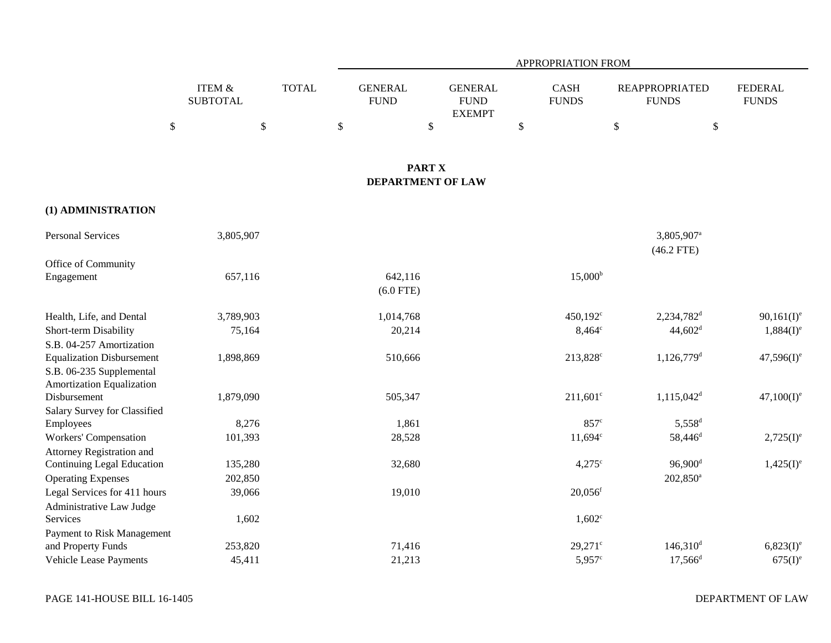|                                           |                           |              |                                           |                                                | <b>APPROPRIATION FROM</b> |                                        |                                |
|-------------------------------------------|---------------------------|--------------|-------------------------------------------|------------------------------------------------|---------------------------|----------------------------------------|--------------------------------|
|                                           | ITEM &<br><b>SUBTOTAL</b> | <b>TOTAL</b> | <b>GENERAL</b><br><b>FUND</b>             | <b>GENERAL</b><br><b>FUND</b><br><b>EXEMPT</b> | CASH<br><b>FUNDS</b>      | <b>REAPPROPRIATED</b><br><b>FUNDS</b>  | <b>FEDERAL</b><br><b>FUNDS</b> |
|                                           | \$<br>$\$$                |              | $\$$                                      | $\mathbb{S}$                                   | \$                        | $\mathbb{S}$<br>$\$$                   |                                |
|                                           |                           |              |                                           |                                                |                           |                                        |                                |
|                                           |                           |              | <b>PART X</b><br><b>DEPARTMENT OF LAW</b> |                                                |                           |                                        |                                |
| (1) ADMINISTRATION                        |                           |              |                                           |                                                |                           |                                        |                                |
| <b>Personal Services</b>                  | 3,805,907                 |              |                                           |                                                |                           | 3,805,907 <sup>a</sup><br>$(46.2$ FTE) |                                |
| Office of Community                       |                           |              |                                           |                                                |                           |                                        |                                |
| Engagement                                | 657,116                   |              | 642,116<br>$(6.0$ FTE)                    |                                                | $15,000^{\rm b}$          |                                        |                                |
| Health, Life, and Dental                  | 3,789,903                 |              | 1,014,768                                 |                                                | 450,192 <sup>c</sup>      | 2,234,782 <sup>d</sup>                 | $90,161(I)^e$                  |
| Short-term Disability                     | 75,164                    |              | 20,214                                    |                                                | $8,464^{\circ}$           | 44,602 <sup>d</sup>                    | $1,884(I)^e$                   |
| S.B. 04-257 Amortization                  |                           |              |                                           |                                                |                           |                                        |                                |
| <b>Equalization Disbursement</b>          | 1,898,869                 |              | 510,666                                   |                                                | 213,828 <sup>c</sup>      | $1,126,779$ <sup>d</sup>               | $47,596(I)^e$                  |
| S.B. 06-235 Supplemental                  |                           |              |                                           |                                                |                           |                                        |                                |
| Amortization Equalization                 |                           |              |                                           |                                                |                           |                                        |                                |
| Disbursement                              | 1,879,090                 |              | 505,347                                   |                                                | $211,601^c$               | $1,115,042^d$                          | $47,100(I)^e$                  |
| Salary Survey for Classified<br>Employees | 8,276                     |              | 1,861                                     |                                                | $857^\circ$               | $5,558$ <sup>d</sup>                   |                                |
| Workers' Compensation                     | 101,393                   |              | 28,528                                    |                                                | $11,694^{\circ}$          | 58,446 <sup>d</sup>                    | $2,725(I)^e$                   |
| Attorney Registration and                 |                           |              |                                           |                                                |                           |                                        |                                |
| <b>Continuing Legal Education</b>         | 135,280                   |              | 32,680                                    |                                                | $4,275^{\circ}$           | $96,900$ <sup>d</sup>                  | $1,425(I)^e$                   |
| <b>Operating Expenses</b>                 | 202,850                   |              |                                           |                                                |                           | 202,850 <sup>a</sup>                   |                                |
| Legal Services for 411 hours              | 39,066                    |              | 19,010                                    |                                                | $20,056$ <sup>f</sup>     |                                        |                                |
| Administrative Law Judge                  |                           |              |                                           |                                                |                           |                                        |                                |
| Services                                  | 1,602                     |              |                                           |                                                | $1,602^{\circ}$           |                                        |                                |
| Payment to Risk Management                |                           |              |                                           |                                                |                           |                                        |                                |
| and Property Funds                        | 253,820                   |              | 71,416                                    |                                                | $29,271$ °                | $146,310$ <sup>d</sup>                 | $6,823(I)^e$                   |
| <b>Vehicle Lease Payments</b>             | 45,411                    |              | 21,213                                    |                                                | $5,957^{\circ}$           | $17,566^{\rm d}$                       | $675(I)^e$                     |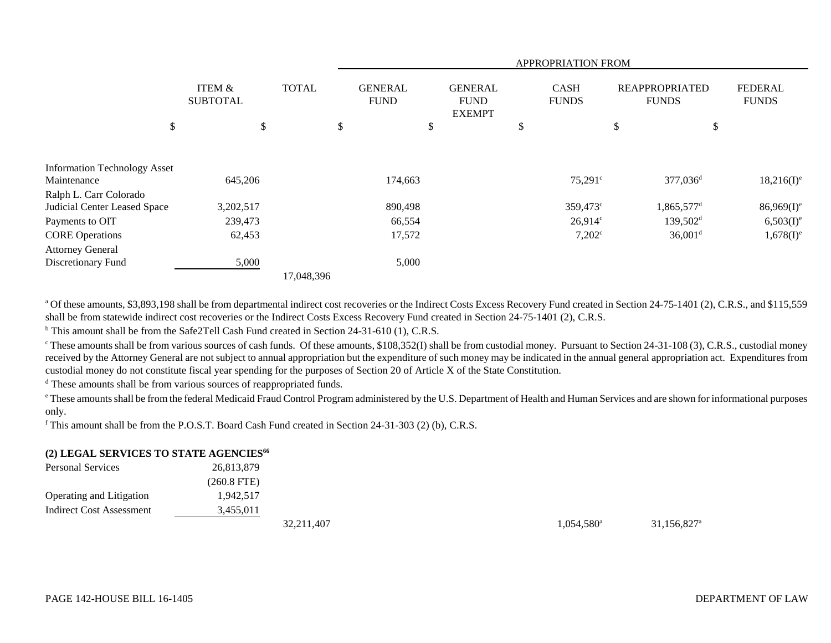|                                     |                           |              | APPROPRIATION FROM |                               |    |                                                |    |                             |    |                                       |                                |
|-------------------------------------|---------------------------|--------------|--------------------|-------------------------------|----|------------------------------------------------|----|-----------------------------|----|---------------------------------------|--------------------------------|
|                                     | ITEM &<br><b>SUBTOTAL</b> | <b>TOTAL</b> |                    | <b>GENERAL</b><br><b>FUND</b> |    | <b>GENERAL</b><br><b>FUND</b><br><b>EXEMPT</b> |    | <b>CASH</b><br><b>FUNDS</b> |    | <b>REAPPROPRIATED</b><br><b>FUNDS</b> | <b>FEDERAL</b><br><b>FUNDS</b> |
| \$                                  | \$                        |              | \$                 |                               | \$ |                                                | \$ |                             | \$ | \$                                    |                                |
| <b>Information Technology Asset</b> |                           |              |                    |                               |    |                                                |    |                             |    |                                       |                                |
| Maintenance                         | 645,206                   |              |                    | 174,663                       |    |                                                |    | $75,291^{\circ}$            |    | 377,036 <sup>d</sup>                  | $18,216(I)^e$                  |
| Ralph L. Carr Colorado              |                           |              |                    |                               |    |                                                |    |                             |    |                                       |                                |
| Judicial Center Leased Space        | 3,202,517                 |              |                    | 890,498                       |    |                                                |    | 359,473°                    |    | 1,865,577 <sup>d</sup>                | $86,969(I)^e$                  |
| Payments to OIT                     | 239,473                   |              |                    | 66,554                        |    |                                                |    | $26,914^c$                  |    | $139,502^{\rm d}$                     | $6,503(I)^e$                   |
| <b>CORE</b> Operations              | 62,453                    |              |                    | 17,572                        |    |                                                |    | $7,202^{\circ}$             |    | $36,001$ <sup>d</sup>                 | $1,678(I)^e$                   |
| <b>Attorney General</b>             |                           |              |                    |                               |    |                                                |    |                             |    |                                       |                                |
| Discretionary Fund                  | 5,000                     |              |                    | 5,000                         |    |                                                |    |                             |    |                                       |                                |
|                                     |                           | 17,048,396   |                    |                               |    |                                                |    |                             |    |                                       |                                |

<sup>a</sup> Of these amounts, \$3,893,198 shall be from departmental indirect cost recoveries or the Indirect Costs Excess Recovery Fund created in Section 24-75-1401 (2), C.R.S., and \$115,559 shall be from statewide indirect cost recoveries or the Indirect Costs Excess Recovery Fund created in Section 24-75-1401 (2), C.R.S.

<sup>b</sup> This amount shall be from the Safe2Tell Cash Fund created in Section 24-31-610 (1), C.R.S.

 $\degree$  These amounts shall be from various sources of cash funds. Of these amounts, \$108,352(I) shall be from custodial money. Pursuant to Section 24-31-108 (3), C.R.S., custodial money received by the Attorney General are not subject to annual appropriation but the expenditure of such money may be indicated in the annual general appropriation act. Expenditures from custodial money do not constitute fiscal year spending for the purposes of Section 20 of Article X of the State Constitution.

<sup>d</sup> These amounts shall be from various sources of reappropriated funds.

<sup>e</sup> These amounts shall be from the federal Medicaid Fraud Control Program administered by the U.S. Department of Health and Human Services and are shown for informational purposes only.

f This amount shall be from the P.O.S.T. Board Cash Fund created in Section 24-31-303 (2) (b), C.R.S.

## **(2) LEGAL SERVICES TO STATE AGENCIES<sup>66</sup>**

| <b>Personal Services</b>        | 26,813,879    |              |                          |                         |
|---------------------------------|---------------|--------------|--------------------------|-------------------------|
|                                 | $(260.8$ FTE) |              |                          |                         |
| <b>Operating and Litigation</b> | 1,942,517     |              |                          |                         |
| Indirect Cost Assessment        | 3,455,011     |              |                          |                         |
|                                 |               | 32, 211, 407 | $1,054,580$ <sup>a</sup> | 31,156,827 <sup>a</sup> |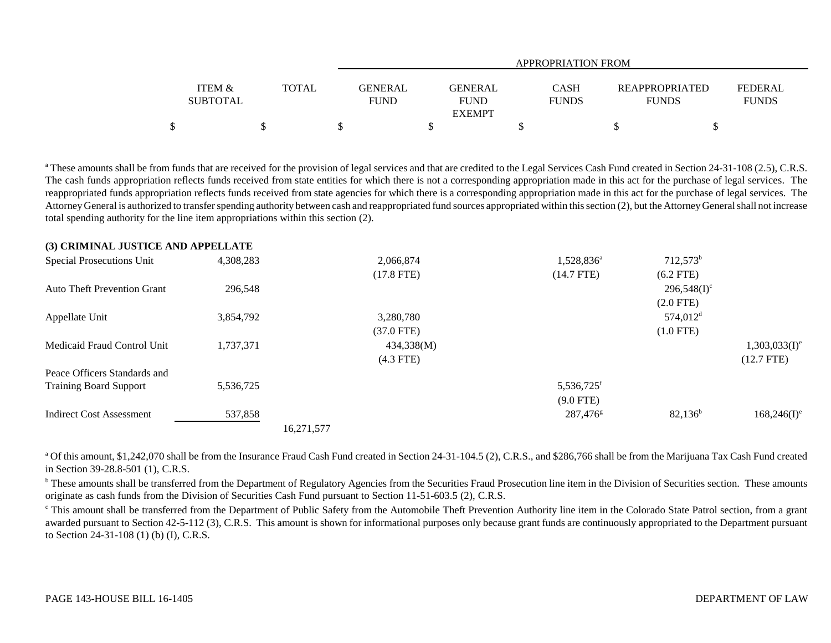|                                      |              |                        | <b>APPROPRIATION FROM</b>               |                             |  |                                                                  |  |  |  |  |  |  |
|--------------------------------------|--------------|------------------------|-----------------------------------------|-----------------------------|--|------------------------------------------------------------------|--|--|--|--|--|--|
| <b>ITEM &amp;</b><br><b>SUBTOTAL</b> | <b>TOTAL</b> | GENERAL<br><b>FUND</b> | GENERAL<br><b>FUND</b><br><b>EXEMPT</b> | <b>CASH</b><br><b>FUNDS</b> |  | FEDERAL<br><b>REAPPROPRIATED</b><br><b>FUNDS</b><br><b>FUNDS</b> |  |  |  |  |  |  |
|                                      |              |                        |                                         |                             |  |                                                                  |  |  |  |  |  |  |

<sup>a</sup> These amounts shall be from funds that are received for the provision of legal services and that are credited to the Legal Services Cash Fund created in Section 24-31-108 (2.5), C.R.S. The cash funds appropriation reflects funds received from state entities for which there is not a corresponding appropriation made in this act for the purchase of legal services. The reappropriated funds appropriation reflects funds received from state agencies for which there is a corresponding appropriation made in this act for the purchase of legal services. The Attorney General is authorized to transfer spending authority between cash and reappropriated fund sources appropriated within this section (2), but the Attorney General shall not increase total spending authority for the line item appropriations within this section (2).

| (3) CRIMINAL JOSTICE AND ALL ELLATE |           |            |              |                        |                        |                  |
|-------------------------------------|-----------|------------|--------------|------------------------|------------------------|------------------|
| <b>Special Prosecutions Unit</b>    | 4,308,283 |            | 2,066,874    | 1,528,836 <sup>a</sup> | $712,573^b$            |                  |
|                                     |           |            | $(17.8$ FTE) | $(14.7$ FTE)           | $(6.2$ FTE)            |                  |
| <b>Auto Theft Prevention Grant</b>  | 296,548   |            |              |                        | $296,548(I)^c$         |                  |
|                                     |           |            |              |                        | $(2.0$ FTE $)$         |                  |
| Appellate Unit                      | 3,854,792 |            | 3,280,780    |                        | $574,012$ <sup>d</sup> |                  |
|                                     |           |            | $(37.0$ FTE) |                        | $(1.0$ FTE)            |                  |
| Medicaid Fraud Control Unit         | 1,737,371 |            | 434,338(M)   |                        |                        | $1,303,033(I)^e$ |
|                                     |           |            | $(4.3$ FTE)  |                        |                        | $(12.7$ FTE)     |
| Peace Officers Standards and        |           |            |              |                        |                        |                  |
| <b>Training Board Support</b>       | 5,536,725 |            |              | 5,536,725 <sup>f</sup> |                        |                  |
|                                     |           |            |              | $(9.0$ FTE)            |                        |                  |
| <b>Indirect Cost Assessment</b>     | 537,858   |            |              | $287,476^{\circ}$      | $82,136^b$             | $168,246(I)^e$   |
|                                     |           | 16,271,577 |              |                        |                        |                  |

<sup>a</sup> Of this amount, \$1,242,070 shall be from the Insurance Fraud Cash Fund created in Section 24-31-104.5 (2), C.R.S., and \$286,766 shall be from the Marijuana Tax Cash Fund created in Section 39-28.8-501 (1), C.R.S.

<sup>b</sup> These amounts shall be transferred from the Department of Regulatory Agencies from the Securities Fraud Prosecution line item in the Division of Securities section. These amounts originate as cash funds from the Division of Securities Cash Fund pursuant to Section 11-51-603.5 (2), C.R.S.

<sup>c</sup> This amount shall be transferred from the Department of Public Safety from the Automobile Theft Prevention Authority line item in the Colorado State Patrol section, from a grant awarded pursuant to Section 42-5-112 (3), C.R.S. This amount is shown for informational purposes only because grant funds are continuously appropriated to the Department pursuant to Section 24-31-108 (1) (b) (I), C.R.S.

**(3) CRIMINAL JUSTICE AND APPELLATE**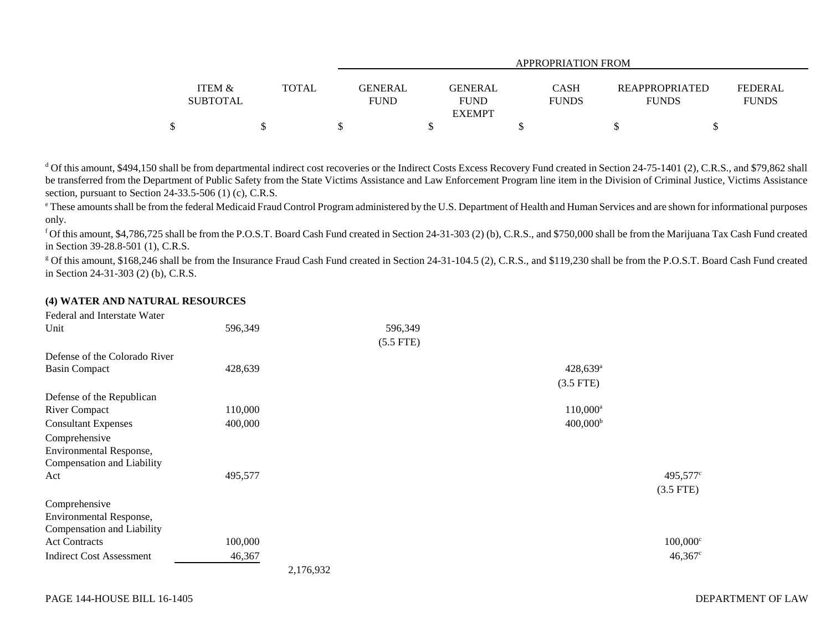|                                      |              |             | APPROPRIATION FROM                       |                             |                                       |                                |  |  |  |  |  |  |
|--------------------------------------|--------------|-------------|------------------------------------------|-----------------------------|---------------------------------------|--------------------------------|--|--|--|--|--|--|
| <b>ITEM &amp;</b><br><b>SUBTOTAL</b> | <b>TOTAL</b> | <b>FUND</b> | <b>GENERAL</b><br>GENERAL<br><b>FUND</b> | <b>CASH</b><br><b>FUNDS</b> | <b>REAPPROPRIATED</b><br><b>FUNDS</b> | <b>FEDERAL</b><br><b>FUNDS</b> |  |  |  |  |  |  |
|                                      |              |             | <b>EXEMPT</b>                            |                             |                                       |                                |  |  |  |  |  |  |
| \$                                   |              |             |                                          |                             |                                       |                                |  |  |  |  |  |  |

<sup>d</sup> Of this amount, \$494,150 shall be from departmental indirect cost recoveries or the Indirect Costs Excess Recovery Fund created in Section 24-75-1401 (2), C.R.S., and \$79,862 shall be transferred from the Department of Public Safety from the State Victims Assistance and Law Enforcement Program line item in the Division of Criminal Justice, Victims Assistance section, pursuant to Section 24-33.5-506 (1) (c), C.R.S.

<sup>e</sup> These amounts shall be from the federal Medicaid Fraud Control Program administered by the U.S. Department of Health and Human Services and are shown for informational purposes only.

<sup>f</sup> Of this amount, \$4,786,725 shall be from the P.O.S.T. Board Cash Fund created in Section 24-31-303 (2) (b), C.R.S., and \$750,000 shall be from the Marijuana Tax Cash Fund created in Section 39-28.8-501 (1), C.R.S.

<sup>g</sup> Of this amount, \$168,246 shall be from the Insurance Fraud Cash Fund created in Section 24-31-104.5 (2), C.R.S., and \$119,230 shall be from the P.O.S.T. Board Cash Fund created in Section 24-31-303 (2) (b), C.R.S.

## **(4) WATER AND NATURAL RESOURCES**

| Federal and Interstate Water    |           |             |                        |                      |
|---------------------------------|-----------|-------------|------------------------|----------------------|
| Unit                            | 596,349   | 596,349     |                        |                      |
|                                 |           | $(5.5$ FTE) |                        |                      |
| Defense of the Colorado River   |           |             |                        |                      |
| <b>Basin Compact</b>            | 428,639   |             | $428,639$ <sup>a</sup> |                      |
|                                 |           |             | $(3.5$ FTE)            |                      |
| Defense of the Republican       |           |             |                        |                      |
| <b>River Compact</b>            | 110,000   |             | $110,000^{\rm a}$      |                      |
| <b>Consultant Expenses</b>      | 400,000   |             | $400,000^{\rm b}$      |                      |
| Comprehensive                   |           |             |                        |                      |
| Environmental Response,         |           |             |                        |                      |
| Compensation and Liability      |           |             |                        |                      |
| Act                             | 495,577   |             |                        | 495,577 <sup>c</sup> |
|                                 |           |             |                        | $(3.5$ FTE)          |
| Comprehensive                   |           |             |                        |                      |
| Environmental Response,         |           |             |                        |                      |
| Compensation and Liability      |           |             |                        |                      |
| <b>Act Contracts</b>            | 100,000   |             |                        | $100,000^{\circ}$    |
| <b>Indirect Cost Assessment</b> | 46,367    |             |                        | $46,367^{\circ}$     |
|                                 | 2,176,932 |             |                        |                      |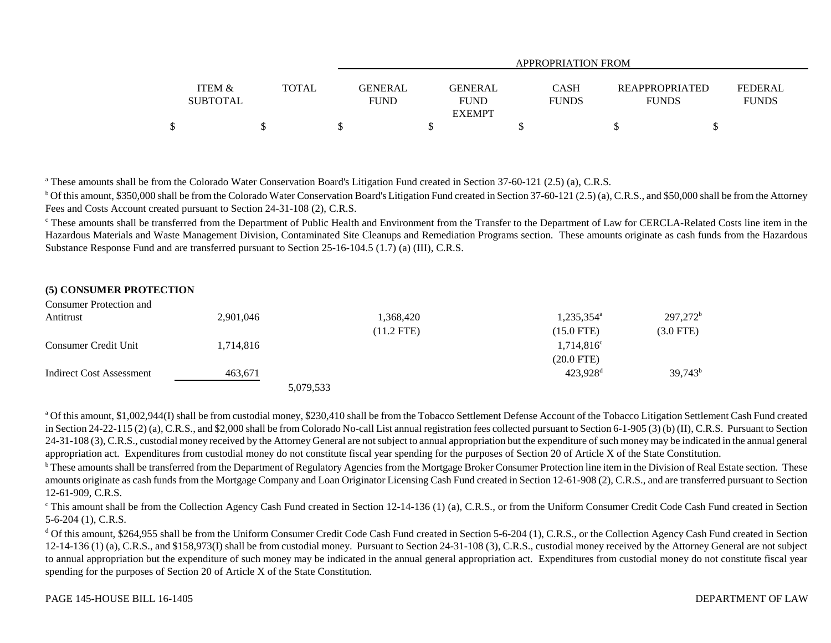|                   |              |             | APPROPRIATION FROM |              |                       |                |  |  |  |  |  |  |
|-------------------|--------------|-------------|--------------------|--------------|-----------------------|----------------|--|--|--|--|--|--|
|                   |              |             |                    |              |                       |                |  |  |  |  |  |  |
| <b>ITEM &amp;</b> | <b>TOTAL</b> |             | GENERAL<br>GENERAL | <b>CASH</b>  | <b>REAPPROPRIATED</b> | <b>FEDERAL</b> |  |  |  |  |  |  |
| <b>SUBTOTAL</b>   |              | <b>FUND</b> | <b>FUND</b>        | <b>FUNDS</b> | <b>FUNDS</b>          | <b>FUNDS</b>   |  |  |  |  |  |  |
|                   |              |             | <b>EXEMPT</b>      |              |                       |                |  |  |  |  |  |  |
| \$                |              |             |                    |              |                       |                |  |  |  |  |  |  |

<sup>a</sup> These amounts shall be from the Colorado Water Conservation Board's Litigation Fund created in Section 37-60-121 (2.5) (a), C.R.S.

<sup>b</sup> Of this amount, \$350,000 shall be from the Colorado Water Conservation Board's Litigation Fund created in Section 37-60-121 (2.5) (a), C.R.S., and \$50,000 shall be from the Attorney Fees and Costs Account created pursuant to Section 24-31-108 (2), C.R.S.

<sup>c</sup> These amounts shall be transferred from the Department of Public Health and Environment from the Transfer to the Department of Law for CERCLA-Related Costs line item in the Hazardous Materials and Waste Management Division, Contaminated Site Cleanups and Remediation Programs section. These amounts originate as cash funds from the Hazardous Substance Response Fund and are transferred pursuant to Section 25-16-104.5 (1.7) (a) (III), C.R.S.

## **(5) CONSUMER PROTECTION**

Consumer Protection and

| Companier I rotochon and |           |           |            |                        |             |
|--------------------------|-----------|-----------|------------|------------------------|-------------|
| Antitrust                | 2,901,046 |           | 1,368,420  | 1,235,354 <sup>a</sup> | $297,272^b$ |
|                          |           |           | (11.2 FTE) | $(15.0$ FTE)           | $(3.0$ FTE) |
| Consumer Credit Unit     | 1,714,816 |           |            | $1,714,816^c$          |             |
|                          |           |           |            | $(20.0$ FTE)           |             |
| Indirect Cost Assessment | 463,671   |           |            | 423,928 <sup>d</sup>   | $39,743^b$  |
|                          |           | 5,079,533 |            |                        |             |

<sup>a</sup> Of this amount, \$1,002,944(I) shall be from custodial money, \$230,410 shall be from the Tobacco Settlement Defense Account of the Tobacco Litigation Settlement Cash Fund created in Section 24-22-115 (2) (a), C.R.S., and \$2,000 shall be from Colorado No-call List annual registration fees collected pursuant to Section 6-1-905 (3) (b) (II), C.R.S. Pursuant to Section 24-31-108 (3), C.R.S., custodial money received by the Attorney General are not subject to annual appropriation but the expenditure of such money may be indicated in the annual general appropriation act. Expenditures from custodial money do not constitute fiscal year spending for the purposes of Section 20 of Article X of the State Constitution.

<sup>b</sup> These amounts shall be transferred from the Department of Regulatory Agencies from the Mortgage Broker Consumer Protection line item in the Division of Real Estate section. These amounts originate as cash funds from the Mortgage Company and Loan Originator Licensing Cash Fund created in Section 12-61-908 (2), C.R.S., and are transferred pursuant to Section 12-61-909, C.R.S.

 $c$  This amount shall be from the Collection Agency Cash Fund created in Section 12-14-136 (1) (a), C.R.S., or from the Uniform Consumer Credit Code Cash Fund created in Section 5-6-204 (1), C.R.S.

<sup>d</sup> Of this amount, \$264,955 shall be from the Uniform Consumer Credit Code Cash Fund created in Section 5-6-204 (1), C.R.S., or the Collection Agency Cash Fund created in Section 12-14-136 (1) (a), C.R.S., and \$158,973(I) shall be from custodial money. Pursuant to Section 24-31-108 (3), C.R.S., custodial money received by the Attorney General are not subject to annual appropriation but the expenditure of such money may be indicated in the annual general appropriation act. Expenditures from custodial money do not constitute fiscal year spending for the purposes of Section 20 of Article X of the State Constitution.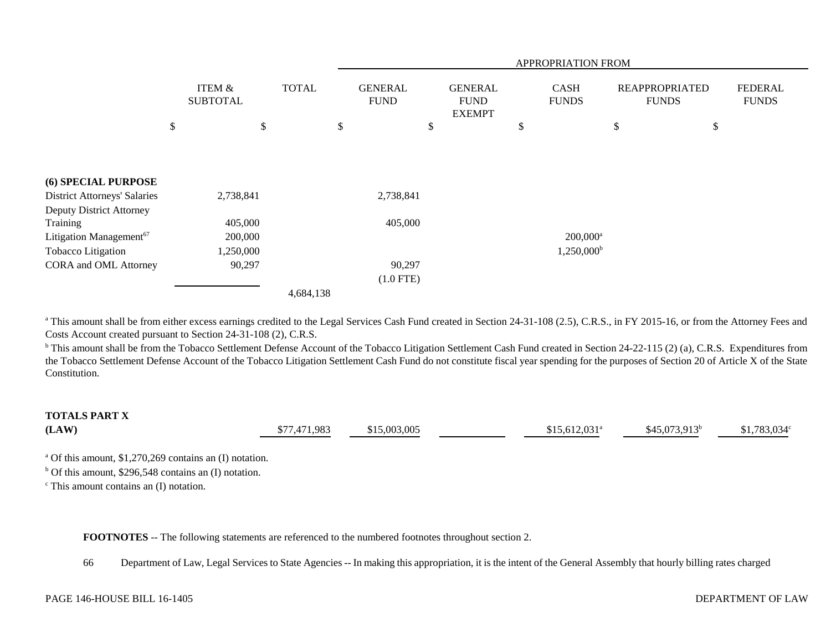|                                     |                                      |              | APPROPRIATION FROM |                               |    |                                                |               |                        |    |                                       |                                |
|-------------------------------------|--------------------------------------|--------------|--------------------|-------------------------------|----|------------------------------------------------|---------------|------------------------|----|---------------------------------------|--------------------------------|
|                                     | <b>ITEM &amp;</b><br><b>SUBTOTAL</b> | <b>TOTAL</b> |                    | <b>GENERAL</b><br><b>FUND</b> |    | <b>GENERAL</b><br><b>FUND</b><br><b>EXEMPT</b> |               | CASH<br><b>FUNDS</b>   |    | <b>REAPPROPRIATED</b><br><b>FUNDS</b> | <b>FEDERAL</b><br><b>FUNDS</b> |
|                                     | \$<br>\$                             |              | \$                 |                               | \$ |                                                | $\mathcal{S}$ |                        | \$ | \$                                    |                                |
|                                     |                                      |              |                    |                               |    |                                                |               |                        |    |                                       |                                |
| (6) SPECIAL PURPOSE                 |                                      |              |                    |                               |    |                                                |               |                        |    |                                       |                                |
| <b>District Attorneys' Salaries</b> | 2,738,841                            |              |                    | 2,738,841                     |    |                                                |               |                        |    |                                       |                                |
| Deputy District Attorney            |                                      |              |                    |                               |    |                                                |               |                        |    |                                       |                                |
| Training                            | 405,000                              |              |                    | 405,000                       |    |                                                |               |                        |    |                                       |                                |
| Litigation Management <sup>67</sup> | 200,000                              |              |                    |                               |    |                                                |               | $200,000$ <sup>a</sup> |    |                                       |                                |
| Tobacco Litigation                  | 1,250,000                            |              |                    |                               |    |                                                |               | $1,250,000^{\rm b}$    |    |                                       |                                |
| CORA and OML Attorney               | 90,297                               |              |                    | 90,297                        |    |                                                |               |                        |    |                                       |                                |
|                                     |                                      |              |                    | $(1.0$ FTE)                   |    |                                                |               |                        |    |                                       |                                |
|                                     |                                      | 4,684,138    |                    |                               |    |                                                |               |                        |    |                                       |                                |

<sup>a</sup> This amount shall be from either excess earnings credited to the Legal Services Cash Fund created in Section 24-31-108 (2.5), C.R.S., in FY 2015-16, or from the Attorney Fees and Costs Account created pursuant to Section 24-31-108 (2), C.R.S.

<sup>b</sup> This amount shall be from the Tobacco Settlement Defense Account of the Tobacco Litigation Settlement Cash Fund created in Section 24-22-115 (2) (a), C.R.S. Expenditures from the Tobacco Settlement Defense Account of the Tobacco Litigation Settlement Cash Fund do not constitute fiscal year spending for the purposes of Section 20 of Article X of the State Constitution.

## **TOTALS PART X**

| (LAW)<br>$\sim$ $\sim$ $\sim$ $\sim$ $\sim$ | \$77,471,983 | \$15,003,005 | $$15,612,031$ <sup>a</sup> | $$45,073,913^b$ | $$1,783,034^{\circ}$ |
|---------------------------------------------|--------------|--------------|----------------------------|-----------------|----------------------|

a Of this amount, \$1,270,269 contains an (I) notation.

 $<sup>b</sup>$  Of this amount, \$296,548 contains an (I) notation.</sup>

 $\epsilon$  This amount contains an (I) notation.

**FOOTNOTES** -- The following statements are referenced to the numbered footnotes throughout section 2.

66 Department of Law, Legal Services to State Agencies -- In making this appropriation, it is the intent of the General Assembly that hourly billing rates charged